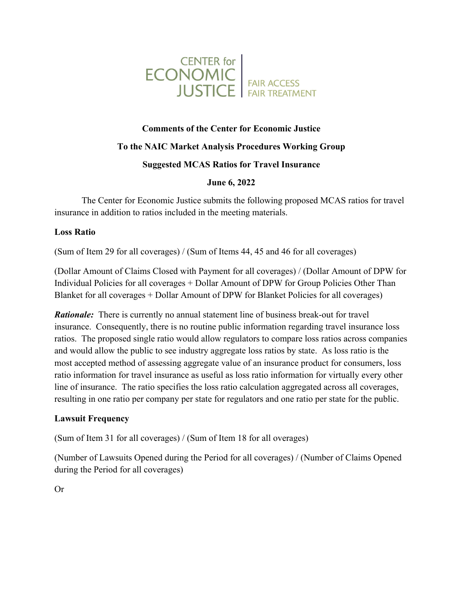

# **Comments of the Center for Economic Justice**

## **To the NAIC Market Analysis Procedures Working Group**

#### **Suggested MCAS Ratios for Travel Insurance**

**June 6, 2022** 

The Center for Economic Justice submits the following proposed MCAS ratios for travel insurance in addition to ratios included in the meeting materials.

#### **Loss Ratio**

(Sum of Item 29 for all coverages) / (Sum of Items 44, 45 and 46 for all coverages)

(Dollar Amount of Claims Closed with Payment for all coverages) / (Dollar Amount of DPW for Individual Policies for all coverages + Dollar Amount of DPW for Group Policies Other Than Blanket for all coverages + Dollar Amount of DPW for Blanket Policies for all coverages)

*Rationale:* There is currently no annual statement line of business break-out for travel insurance. Consequently, there is no routine public information regarding travel insurance loss ratios. The proposed single ratio would allow regulators to compare loss ratios across companies and would allow the public to see industry aggregate loss ratios by state. As loss ratio is the most accepted method of assessing aggregate value of an insurance product for consumers, loss ratio information for travel insurance as useful as loss ratio information for virtually every other line of insurance. The ratio specifies the loss ratio calculation aggregated across all coverages, resulting in one ratio per company per state for regulators and one ratio per state for the public.

## **Lawsuit Frequency**

(Sum of Item 31 for all coverages) / (Sum of Item 18 for all overages)

(Number of Lawsuits Opened during the Period for all coverages) / (Number of Claims Opened during the Period for all coverages)

Or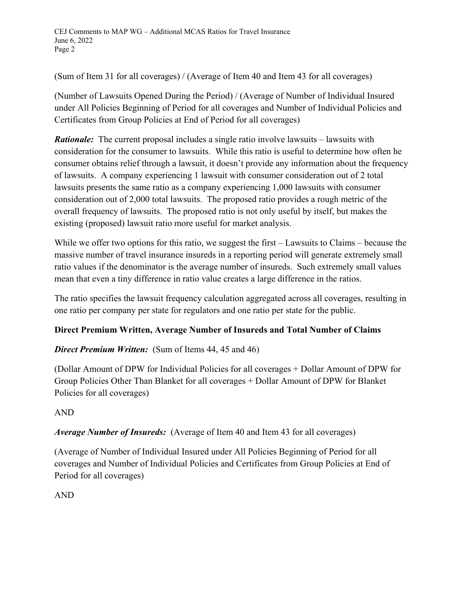(Sum of Item 31 for all coverages) / (Average of Item 40 and Item 43 for all coverages)

(Number of Lawsuits Opened During the Period) / (Average of Number of Individual Insured under All Policies Beginning of Period for all coverages and Number of Individual Policies and Certificates from Group Policies at End of Period for all coverages)

*Rationale:* The current proposal includes a single ratio involve lawsuits – lawsuits with consideration for the consumer to lawsuits. While this ratio is useful to determine how often he consumer obtains relief through a lawsuit, it doesn't provide any information about the frequency of lawsuits. A company experiencing 1 lawsuit with consumer consideration out of 2 total lawsuits presents the same ratio as a company experiencing 1,000 lawsuits with consumer consideration out of 2,000 total lawsuits. The proposed ratio provides a rough metric of the overall frequency of lawsuits. The proposed ratio is not only useful by itself, but makes the existing (proposed) lawsuit ratio more useful for market analysis.

While we offer two options for this ratio, we suggest the first – Lawsuits to Claims – because the massive number of travel insurance insureds in a reporting period will generate extremely small ratio values if the denominator is the average number of insureds. Such extremely small values mean that even a tiny difference in ratio value creates a large difference in the ratios.

The ratio specifies the lawsuit frequency calculation aggregated across all coverages, resulting in one ratio per company per state for regulators and one ratio per state for the public.

## **Direct Premium Written, Average Number of Insureds and Total Number of Claims**

## *Direct Premium Written:* (Sum of Items 44, 45 and 46)

(Dollar Amount of DPW for Individual Policies for all coverages + Dollar Amount of DPW for Group Policies Other Than Blanket for all coverages + Dollar Amount of DPW for Blanket Policies for all coverages)

## AND

*Average Number of Insureds:* (Average of Item 40 and Item 43 for all coverages)

(Average of Number of Individual Insured under All Policies Beginning of Period for all coverages and Number of Individual Policies and Certificates from Group Policies at End of Period for all coverages)

AND